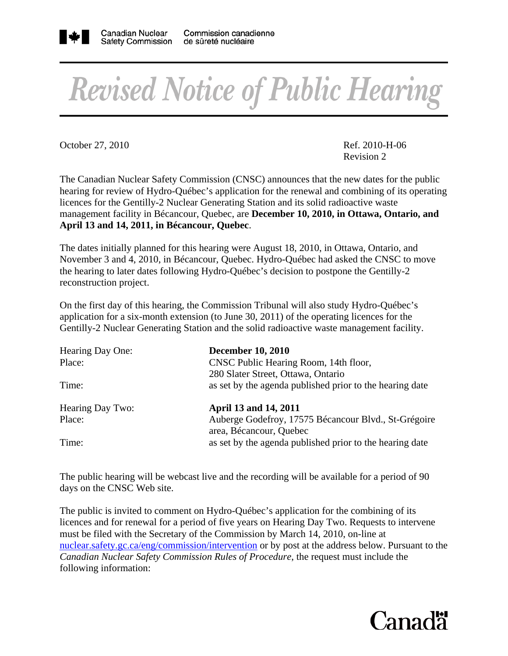

## **Revised Notice of Public Hearing**

October 27, 2010 Ref. 2010-H-06

Revision 2

The Canadian Nuclear Safety Commission (CNSC) announces that the new dates for the public hearing for review of Hydro-Québec's application for the renewal and combining of its operating licences for the Gentilly-2 Nuclear Generating Station and its solid radioactive waste management facility in Bécancour, Quebec, are **December 10, 2010, in Ottawa, Ontario, and April 13 and 14, 2011, in Bécancour, Quebec**.

The dates initially planned for this hearing were August 18, 2010, in Ottawa, Ontario, and November 3 and 4, 2010, in Bécancour, Quebec. Hydro-Québec had asked the CNSC to move the hearing to later dates following Hydro-Québec's decision to postpone the Gentilly-2 reconstruction project.

On the first day of this hearing, the Commission Tribunal will also study Hydro-Québec's application for a six-month extension (to June 30, 2011) of the operating licences for the Gentilly-2 Nuclear Generating Station and the solid radioactive waste management facility.

| Hearing Day One: | <b>December 10, 2010</b>                                 |
|------------------|----------------------------------------------------------|
| Place:           | CNSC Public Hearing Room, 14th floor,                    |
|                  | 280 Slater Street, Ottawa, Ontario                       |
| Time:            | as set by the agenda published prior to the hearing date |
| Hearing Day Two: | April 13 and 14, 2011                                    |
| Place:           | Auberge Godefroy, 17575 Bécancour Blvd., St-Grégoire     |
|                  | area, Bécancour, Quebec                                  |
| Time:            | as set by the agenda published prior to the hearing date |

The public hearing will be webcast live and the recording will be available for a period of 90 days on the CNSC Web site.

The public is invited to comment on Hydro-Québec's application for the combining of its licences and for renewal for a period of five years on Hearing Day Two. Requests to intervene must be filed with the Secretary of the Commission by March 14, 2010, on-line at nuclear.safety.gc.ca/eng/commission/intervention or by post at the address below. Pursuant to the *Canadian Nuclear Safety Commission Rules of Procedure*, the request must include the following information: